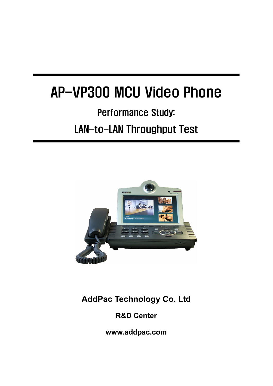# AP-VP300 MCU Video Phone

# Performance Study: LAN-to-LAN Throughput Test



**AddPac Technology Co. Ltd** 

**R&D Center** 

**www.addpac.com**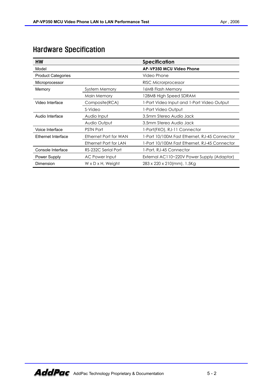## Hardware Specification

| НW                        |                                | <b>Specification</b>                          |
|---------------------------|--------------------------------|-----------------------------------------------|
| Model                     |                                | AP-VP350 MCU Video Phone                      |
| <b>Product Categories</b> |                                | Video Phone                                   |
| Microprocessor            |                                | RISC Microrprocessor                          |
| Memory                    | System Memory                  | 16MB Flash Memory                             |
|                           | Main Memory                    | 128MB High Speed SDRAM                        |
| Video Interface           | Composite(RCA)                 | 1-Port Video Input and 1-Port Video Output    |
|                           | S-Video                        | 1-Port Video Output                           |
| Audio Interface           | Audio Input                    | 3.5mm Stereo Audio Jack                       |
|                           | Audio Output                   | 3.5mm Stereo Audio Jack                       |
| Voice Interface           | <b>PSTN Port</b>               | 1-Port(FXO), RJ-11 Connector                  |
| Ethernet Interface        | Ethernet Port for WAN          | 1-Port 10/100M Fast Ethernet, RJ-45 Connector |
|                           | Ethernet Port for LAN          | 1-Port 10/100M Fast Ethernet, RJ-45 Connector |
| Console Interface         | RS-232C Serial Port            | 1-Port, RJ-45 Connector                       |
| Power Supply              | AC Power Input                 | External AC110~220V Power Supply (Adaptor)    |
| Dimension                 | $W \times D \times H$ , Weight | 283 x 220 x 210(mm), 1.5Kg                    |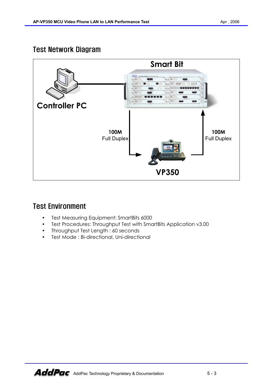### Test Network Diagram



### Test Environment

- Test Measuring Equipment: SmartBits 6000
- Test Procedures: Throughput Test with SmartBits Application v3.00
- Throughput Test Length : 60 seconds
- Test Mode: Bi-directional, Uni-directional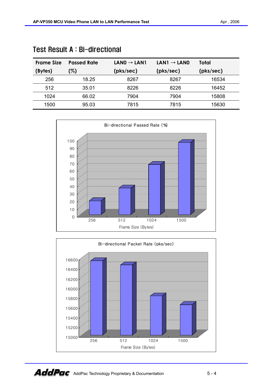| <b>Frame Size</b> | <b>Passed Rate</b> | $LAND \rightarrow LAN1$ | $LAN1 \rightarrow LAN0$ | Total     |
|-------------------|--------------------|-------------------------|-------------------------|-----------|
| (Bytes)           | (%)                | (pks/sec)               | (pks/sec)               | (pks/sec) |
| 256               | 18.25              | 8267                    | 8267                    | 16534     |
| 512               | 35.01              | 8226                    | 8226                    | 16452     |
| 1024              | 66.02              | 7904                    | 7904                    | 15808     |
| 1500              | 95.03              | 7815                    | 7815                    | 15630     |

|  |  | Test Result A: Bi-directional |
|--|--|-------------------------------|
|--|--|-------------------------------|